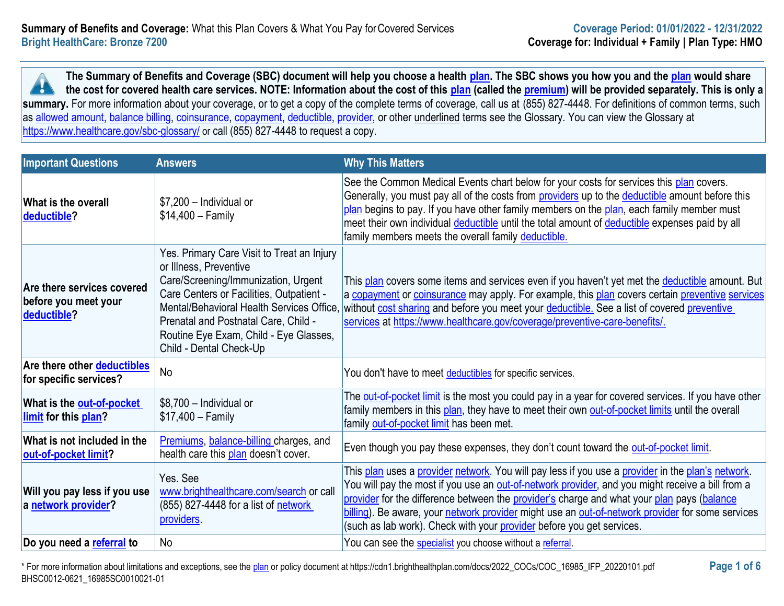**The Summary of Benefits and Coverage (SBC) document will help you choose a health [plan.](https://www.healthcare.gov/sbc-glossary/#plan) The SBC shows you how you and the [plan](https://www.healthcare.gov/sbc-glossary/#plan) would share**  -9 **the cost for covered health care services. NOTE: Information about the cost of this [plan](https://www.healthcare.gov/sbc-glossary/#plan) (called the [premium\)](https://www.healthcare.gov/sbc-glossary/#premium) will be provided separately. This is only a**  summary. For more information about your coverage, or to get a copy of the complete terms of coverage, call us at (855) 827-4448. For definitions of common terms, such as [allowed amount,](https://www.healthcare.gov/sbc-glossary/#allowed-amount) [balance billing,](https://www.healthcare.gov/sbc-glossary/#balance-billing) [coinsurance,](https://www.healthcare.gov/sbc-glossary/#coinsurance) [copayment,](https://www.healthcare.gov/sbc-glossary/#copayment) [deductible,](https://www.healthcare.gov/sbc-glossary/#deductible) [provider,](https://www.healthcare.gov/sbc-glossary/#provider) or other underlined terms see the Glossary. You can view the Glossary at <https://www.healthcare.gov/sbc-glossary/> or call (855) 827-4448 to request a copy.

| <b>Important Questions</b>                                        | <b>Answers</b>                                                                                                                                                                                                                                                                                                    | <b>Why This Matters</b>                                                                                                                                                                                                                                                                                                                                                                                                                                                          |
|-------------------------------------------------------------------|-------------------------------------------------------------------------------------------------------------------------------------------------------------------------------------------------------------------------------------------------------------------------------------------------------------------|----------------------------------------------------------------------------------------------------------------------------------------------------------------------------------------------------------------------------------------------------------------------------------------------------------------------------------------------------------------------------------------------------------------------------------------------------------------------------------|
| What is the overall<br>deductible?                                | \$7,200 - Individual or<br>$$14,400 - Family$                                                                                                                                                                                                                                                                     | See the Common Medical Events chart below for your costs for services this plan covers.<br>Generally, you must pay all of the costs from providers up to the deductible amount before this<br>plan begins to pay. If you have other family members on the plan, each family member must<br>meet their own individual <i>deductible</i> until the total amount of <i>deductible</i> expenses paid by all<br>family members meets the overall family deductible.                   |
| Are there services covered<br>before you meet your<br>deductible? | Yes. Primary Care Visit to Treat an Injury<br>or Illness, Preventive<br>Care/Screening/Immunization, Urgent<br>Care Centers or Facilities, Outpatient -<br>Mental/Behavioral Health Services Office,<br>Prenatal and Postnatal Care, Child -<br>Routine Eye Exam, Child - Eye Glasses,<br>Child - Dental Check-Up | This plan covers some items and services even if you haven't yet met the deductible amount. But<br>a copayment or coinsurance may apply. For example, this plan covers certain preventive services<br>without cost sharing and before you meet your deductible. See a list of covered preventive<br>services at https://www.healthcare.gov/coverage/preventive-care-benefits/.                                                                                                   |
| Are there other deductibles<br>for specific services?             | <b>No</b>                                                                                                                                                                                                                                                                                                         | You don't have to meet deductibles for specific services.                                                                                                                                                                                                                                                                                                                                                                                                                        |
| What is the <b>out-of-pocket</b><br>limit for this plan?          | \$8,700 - Individual or<br>$$17,400 - Family$                                                                                                                                                                                                                                                                     | The out-of-pocket limit is the most you could pay in a year for covered services. If you have other<br>family members in this plan, they have to meet their own out-of-pocket limits until the overall<br>family out-of-pocket limit has been met.                                                                                                                                                                                                                               |
| What is not included in the<br>out-of-pocket limit?               | Premiums, balance-billing charges, and<br>health care this plan doesn't cover.                                                                                                                                                                                                                                    | Even though you pay these expenses, they don't count toward the out-of-pocket limit.                                                                                                                                                                                                                                                                                                                                                                                             |
| Will you pay less if you use<br>a network provider?               | Yes. See<br>www.brighthealthcare.com/search or call<br>(855) 827-4448 for a list of network<br>providers.                                                                                                                                                                                                         | This plan uses a provider network. You will pay less if you use a provider in the plan's network.<br>You will pay the most if you use an out-of-network provider, and you might receive a bill from a<br>provider for the difference between the provider's charge and what your plan pays (balance<br>billing). Be aware, your network provider might use an out-of-network provider for some services<br>(such as lab work). Check with your provider before you get services. |
| Do you need a referral to                                         | No                                                                                                                                                                                                                                                                                                                | You can see the specialist you choose without a referral.                                                                                                                                                                                                                                                                                                                                                                                                                        |

\* For more information about limitations and exceptions, see the [plan](https://www.healthcare.gov/sbc-glossary/#plan) or policy document at https://cdn1.brighthealthplan.com/docs/2022\_COCs/COC\_16985\_IFP\_20220101.pdf **Page 1 of 6** BHSC0012-0621\_16985SC0010021-01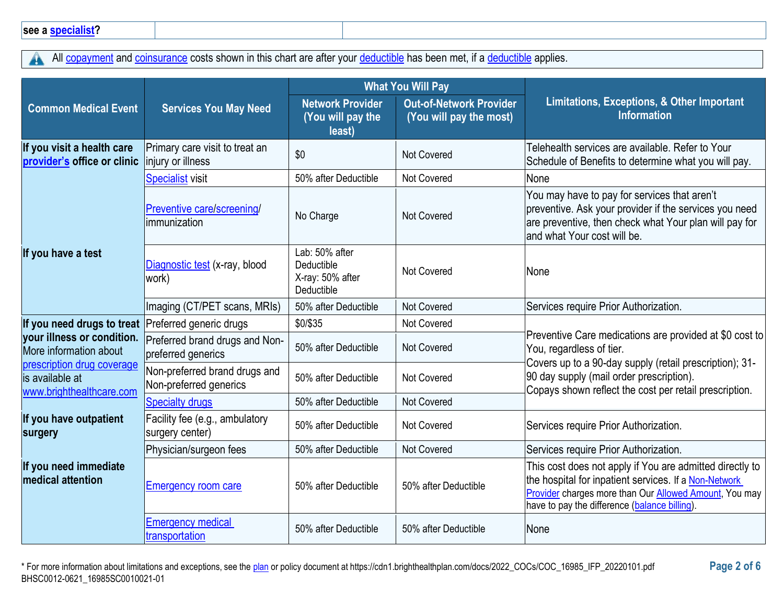All [copayment](https://www.healthcare.gov/sbc-glossary/#copayment) and [coinsurance](https://www.healthcare.gov/sbc-glossary/#coinsurance) costs shown in this chart are after your [deductible](https://www.healthcare.gov/sbc-glossary/#deductible) has been met, if a deductible applies.  $\blacktriangle$ 

|                                                                           |                                                         | <b>What You Will Pay</b>                                       |                                                           |                                                                                                                                                                                                                             |
|---------------------------------------------------------------------------|---------------------------------------------------------|----------------------------------------------------------------|-----------------------------------------------------------|-----------------------------------------------------------------------------------------------------------------------------------------------------------------------------------------------------------------------------|
| <b>Common Medical Event</b>                                               | <b>Services You May Need</b>                            | <b>Network Provider</b><br>(You will pay the<br>least)         | <b>Out-of-Network Provider</b><br>(You will pay the most) | Limitations, Exceptions, & Other Important<br><b>Information</b>                                                                                                                                                            |
| If you visit a health care<br>provider's office or clinic                 | Primary care visit to treat an<br>injury or illness     | \$0                                                            | <b>Not Covered</b>                                        | Telehealth services are available. Refer to Your<br>Schedule of Benefits to determine what you will pay.                                                                                                                    |
|                                                                           | <b>Specialist visit</b>                                 | 50% after Deductible                                           | <b>Not Covered</b>                                        | None                                                                                                                                                                                                                        |
|                                                                           | Preventive care/screening/<br>immunization              | No Charge                                                      | <b>Not Covered</b>                                        | You may have to pay for services that aren't<br>preventive. Ask your provider if the services you need<br>are preventive, then check what Your plan will pay for<br>land what Your cost will be.                            |
| If you have a test                                                        | Diagnostic test (x-ray, blood<br>work)                  | Lab: 50% after<br>Deductible<br>X-ray: 50% after<br>Deductible | Not Covered                                               | None                                                                                                                                                                                                                        |
|                                                                           | Imaging (CT/PET scans, MRIs)                            | 50% after Deductible                                           | Not Covered                                               | Services require Prior Authorization.                                                                                                                                                                                       |
| If you need drugs to treat                                                | Preferred generic drugs                                 | \$0/\$35                                                       | Not Covered                                               |                                                                                                                                                                                                                             |
| your illness or condition.<br>More information about                      | Preferred brand drugs and Non-<br>preferred generics    | 50% after Deductible                                           | <b>Not Covered</b>                                        | Preventive Care medications are provided at \$0 cost to<br>You, regardless of tier.                                                                                                                                         |
| prescription drug coverage<br>is available at<br>www.brighthealthcare.com | Non-preferred brand drugs and<br>Non-preferred generics | 50% after Deductible                                           | Not Covered                                               | Covers up to a 90-day supply (retail prescription); 31-<br>90 day supply (mail order prescription).<br>Copays shown reflect the cost per retail prescription.                                                               |
|                                                                           | <b>Specialty drugs</b>                                  | 50% after Deductible                                           | Not Covered                                               |                                                                                                                                                                                                                             |
| If you have outpatient<br>surgery                                         | Facility fee (e.g., ambulatory<br>surgery center)       | 50% after Deductible                                           | Not Covered                                               | Services require Prior Authorization.                                                                                                                                                                                       |
|                                                                           | Physician/surgeon fees                                  | 50% after Deductible                                           | Not Covered                                               | Services require Prior Authorization.                                                                                                                                                                                       |
| If you need immediate<br><b>medical attention</b>                         | <b>Emergency room care</b>                              | 50% after Deductible                                           | 50% after Deductible                                      | This cost does not apply if You are admitted directly to<br>the hospital for inpatient services. If a Non-Network<br>Provider charges more than Our Allowed Amount, You may<br>have to pay the difference (balance billing) |
|                                                                           | <b>Emergency medical</b><br>transportation              | 50% after Deductible                                           | 50% after Deductible                                      | None                                                                                                                                                                                                                        |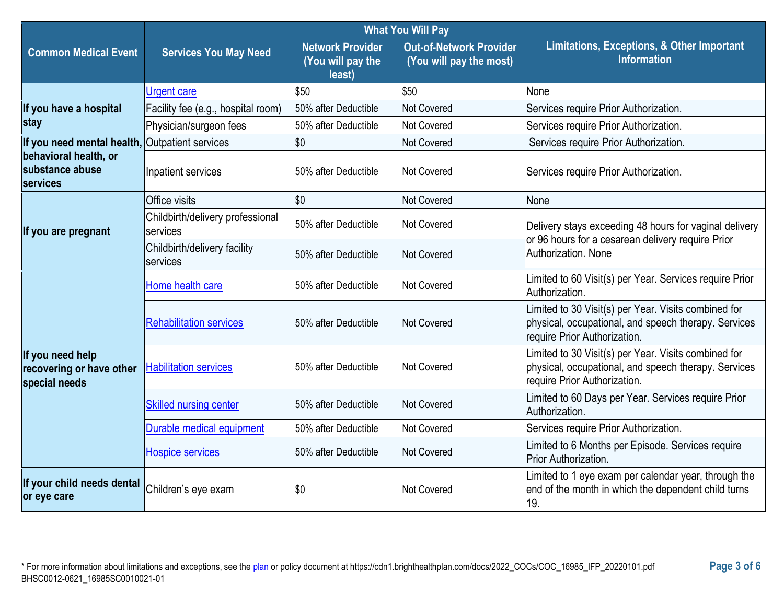|                                                               |                                              | <b>What You Will Pay</b>                               |                                                           |                                                                                                                                              |
|---------------------------------------------------------------|----------------------------------------------|--------------------------------------------------------|-----------------------------------------------------------|----------------------------------------------------------------------------------------------------------------------------------------------|
| <b>Common Medical Event</b>                                   | <b>Services You May Need</b>                 | <b>Network Provider</b><br>(You will pay the<br>least) | <b>Out-of-Network Provider</b><br>(You will pay the most) | Limitations, Exceptions, & Other Important<br><b>Information</b>                                                                             |
|                                                               | <b>Urgent care</b>                           | \$50                                                   | \$50                                                      | None                                                                                                                                         |
| If you have a hospital                                        | Facility fee (e.g., hospital room)           | 50% after Deductible                                   | Not Covered                                               | Services require Prior Authorization.                                                                                                        |
| stay                                                          | Physician/surgeon fees                       | 50% after Deductible                                   | Not Covered                                               | Services require Prior Authorization.                                                                                                        |
| If you need mental health,                                    | Outpatient services                          | \$0                                                    | Not Covered                                               | Services require Prior Authorization.                                                                                                        |
| behavioral health, or<br>substance abuse<br>services          | Inpatient services                           | 50% after Deductible                                   | Not Covered                                               | Services require Prior Authorization.                                                                                                        |
|                                                               | Office visits                                | \$0                                                    | Not Covered                                               | None                                                                                                                                         |
| If you are pregnant                                           | Childbirth/delivery professional<br>services | 50% after Deductible                                   | Not Covered                                               | Delivery stays exceeding 48 hours for vaginal delivery<br>or 96 hours for a cesarean delivery require Prior<br>Authorization. None           |
|                                                               | Childbirth/delivery facility<br>services     | 50% after Deductible                                   | <b>Not Covered</b>                                        |                                                                                                                                              |
|                                                               | Home health care                             | 50% after Deductible                                   | <b>Not Covered</b>                                        | Limited to 60 Visit(s) per Year. Services require Prior<br>Authorization.                                                                    |
| If you need help<br>recovering or have other<br>special needs | <b>Rehabilitation services</b>               | 50% after Deductible                                   | <b>Not Covered</b>                                        | Limited to 30 Visit(s) per Year. Visits combined for<br>physical, occupational, and speech therapy. Services<br>require Prior Authorization. |
|                                                               | <b>Habilitation services</b>                 | 50% after Deductible                                   | <b>Not Covered</b>                                        | Limited to 30 Visit(s) per Year. Visits combined for<br>physical, occupational, and speech therapy. Services<br>require Prior Authorization. |
|                                                               | <b>Skilled nursing center</b>                | 50% after Deductible                                   | Not Covered                                               | Limited to 60 Days per Year. Services require Prior<br>Authorization.                                                                        |
|                                                               | Durable medical equipment                    | 50% after Deductible                                   | <b>Not Covered</b>                                        | Services require Prior Authorization.                                                                                                        |
|                                                               | <b>Hospice services</b>                      | 50% after Deductible                                   | Not Covered                                               | Limited to 6 Months per Episode. Services require<br>Prior Authorization.                                                                    |
| If your child needs dental<br>or eye care                     | Children's eye exam                          | \$0                                                    | <b>Not Covered</b>                                        | Limited to 1 eye exam per calendar year, through the<br>end of the month in which the dependent child turns<br>19.                           |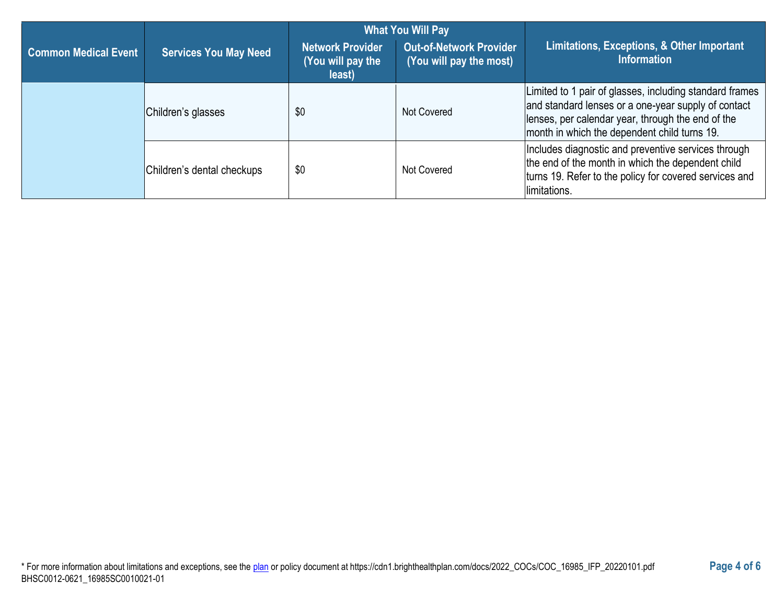|                             |                              | <b>What You Will Pay</b>                        |                                                           |                                                                                                                                                                                                                     |
|-----------------------------|------------------------------|-------------------------------------------------|-----------------------------------------------------------|---------------------------------------------------------------------------------------------------------------------------------------------------------------------------------------------------------------------|
| <b>Common Medical Event</b> | <b>Services You May Need</b> | Network Provider<br>(You will pay the<br>least) | <b>Out-of-Network Provider</b><br>(You will pay the most) | Limitations, Exceptions, & Other Important<br><b>Information</b>                                                                                                                                                    |
|                             | Children's glasses           | \$0                                             | Not Covered                                               | Limited to 1 pair of glasses, including standard frames<br>and standard lenses or a one-year supply of contact<br>lenses, per calendar year, through the end of the<br>month in which the dependent child turns 19. |
|                             | Children's dental checkups   | \$0                                             | Not Covered                                               | Includes diagnostic and preventive services through<br>the end of the month in which the dependent child<br>turns 19. Refer to the policy for covered services and<br>limitations.                                  |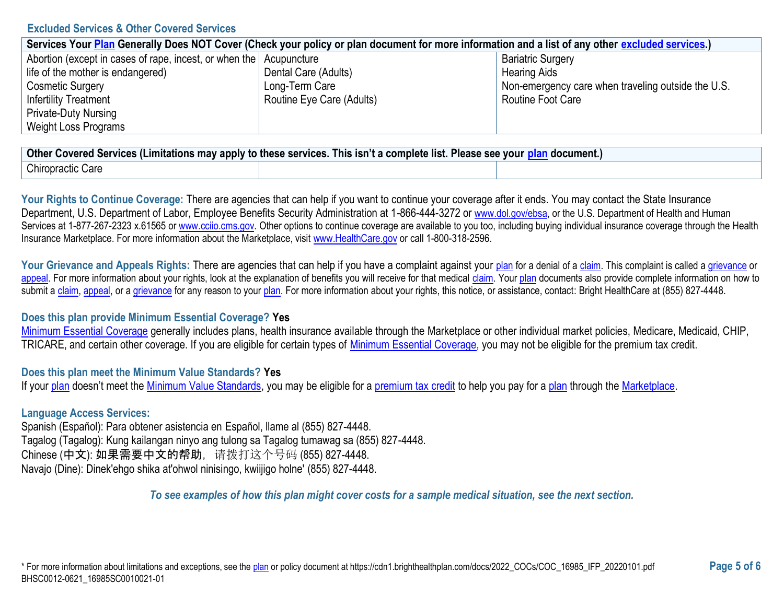### **Excluded Services & Other Covered Services**

| Services Your Plan Generally Does NOT Cover (Check your policy or plan document for more information and a list of any other excluded services.) |                           |                                                    |  |
|--------------------------------------------------------------------------------------------------------------------------------------------------|---------------------------|----------------------------------------------------|--|
| Abortion (except in cases of rape, incest, or when the Acupuncture                                                                               |                           | <b>Bariatric Surgery</b>                           |  |
| life of the mother is endangered)                                                                                                                | Dental Care (Adults)      | <b>Hearing Aids</b>                                |  |
| <b>Cosmetic Surgery</b>                                                                                                                          | Long-Term Care            | Non-emergency care when traveling outside the U.S. |  |
| <b>Infertility Treatment</b>                                                                                                                     | Routine Eye Care (Adults) | Routine Foot Care                                  |  |
| <b>Private-Duty Nursing</b>                                                                                                                      |                           |                                                    |  |
| <b>Weight Loss Programs</b>                                                                                                                      |                           |                                                    |  |

| <b>Other</b><br>This isn't<br>a document.<br>t a complete list. F<br><sup>,</sup> Covered Services (Limitations may apply to these services.<br><b>VOUI</b><br>Please see |  |  |  |
|---------------------------------------------------------------------------------------------------------------------------------------------------------------------------|--|--|--|
| <b>Chiropractic Care</b>                                                                                                                                                  |  |  |  |

Your Rights to Continue Coverage: There are agencies that can help if you want to continue your coverage after it ends. You may contact the State Insurance Department, U.S. Department of Labor, Employee Benefits Security Administration at 1-866-444-3272 or [www.dol.gov/ebsa,](https://www.dol.gov/ebsa/) or the U.S. Department of Health and Human Services at 1-877-267-2323 x.61565 o[r www.cciio.cms.gov.](https://www.cciio.cms.gov/) Other options to continue coverage are available to you too, including buying individual insurance coverage through the Health Insurance Marketplace. For more information about the Marketplace, visit [www.HealthCare.gov](https://www.healthcare.gov/) or call 1-800-318-2596.

Your Grievance and Appeals Rights: There are agencies that can help if you have a complaint against your [plan](https://www.healthcare.gov/sbc-glossary/#plan) for a denial of [a claim.](https://www.healthcare.gov/sbc-glossary/#claim) This complaint is called a [grievance](https://www.healthcare.gov/sbc-glossary/#grievance) or [appeal.](https://www.healthcare.gov/sbc-glossary/#appeal) For more information about your rights, look at the explanation of benefits you will receive for that medical [claim.](https://www.healthcare.gov/sbc-glossary/#claim) You[r plan](https://www.healthcare.gov/sbc-glossary/#plan) documents also provide complete information on how to submit a [claim,](https://www.healthcare.gov/sbc-glossary/#claim) [appeal,](https://www.healthcare.gov/sbc-glossary/#appeal) or [a grievance](https://www.healthcare.gov/sbc-glossary/#grievance) for any reason to your [plan.](https://www.healthcare.gov/sbc-glossary/#plan) For more information about your rights, this notice, or assistance, contact: Bright HealthCare at (855) 827-4448.

### **Does this plan provide Minimum Essential Coverage? Yes**

[Minimum Essential Coverage](https://www.healthcare.gov/sbc-glossary/#minimum-essential-coverage) generally includes plans, health insurance available through the Marketplace or other individual market policies, Medicare, Medicaid, CHIP, TRICARE, and certain other coverage. If you are eligible for certain types of [Minimum Essential Coverage,](https://www.healthcare.gov/sbc-glossary/#minimum-essential-coverage) you may not be eligible for the premium tax credit.

### **Does this plan meet the Minimum Value Standards? Yes**

If you[r plan](https://www.healthcare.gov/sbc-glossary/#plan) doesn't meet the [Minimum Value Standards,](https://www.healthcare.gov/sbc-glossary/#minimum-value-standard) you may be eligible for a [premium tax credit](https://www.healthcare.gov/sbc-glossary/#premium-tax-credits) to help you pay for a [plan](https://www.healthcare.gov/sbc-glossary/#plan) through the [Marketplace.](https://www.healthcare.gov/sbc-glossary/#marketplace)

### **Language Access Services:**

Spanish (Español): Para obtener asistencia en Español, llame al (855) 827-4448. Tagalog (Tagalog): Kung kailangan ninyo ang tulong sa Tagalog tumawag sa (855) 827-4448. Chinese (中文): 如果需要中文的帮助,请拨打这个号码 (855) 827-4448. Navajo (Dine): Dinek'ehgo shika at'ohwol ninisingo, kwiijigo holne' (855) 827-4448.

*To see examples of how this plan might cover costs for a sample medical situation, see the next section.*